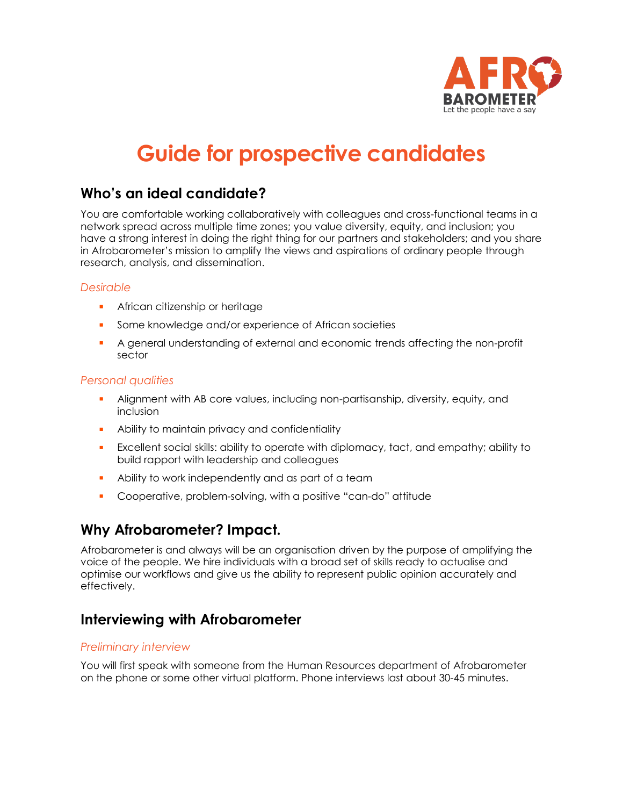

## **Guide for prospective candidates**

## **Who's an ideal candidate?**

You are comfortable working collaboratively with colleagues and cross-functional teams in a network spread across multiple time zones; you value diversity, equity, and inclusion; you have a strong interest in doing the right thing for our partners and stakeholders; and you share in Afrobarometer's mission to amplify the views and aspirations of ordinary people through research, analysis, and dissemination.

#### *Desirable*

- **EXECUTE:** African citizenship or heritage
- Some knowledge and/or experience of African societies
- A general understanding of external and economic trends affecting the non-profit sector

#### *Personal qualities*

- Alignment with AB core values, including non-partisanship, diversity, equity, and inclusion
- Ability to maintain privacy and confidentiality
- **EXCELARENT Social skills: ability to operate with diplomacy, tact, and empathy; ability to** build rapport with leadership and colleagues
- Ability to work independently and as part of a team
- Cooperative, problem-solving, with a positive "can-do" attitude

## **Why Afrobarometer? Impact.**

Afrobarometer is and always will be an organisation driven by the purpose of amplifying the voice of the people. We hire individuals with a broad set of skills ready to actualise and optimise our workflows and give us the ability to represent public opinion accurately and effectively.

## **Interviewing with Afrobarometer**

#### *Preliminary interview*

You will first speak with someone from the Human Resources department of Afrobarometer on the phone or some other virtual platform. Phone interviews last about 30-45 minutes.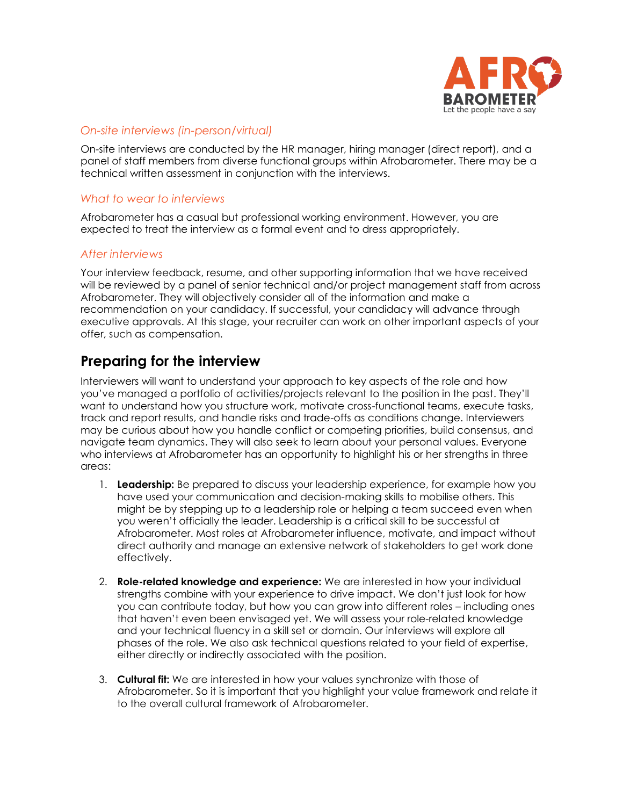

#### *On-site interviews (in-person/virtual)*

On-site interviews are conducted by the HR manager, hiring manager (direct report), and a panel of staff members from diverse functional groups within Afrobarometer. There may be a technical written assessment in conjunction with the interviews.

#### *What to wear to interviews*

Afrobarometer has a casual but professional working environment. However, you are expected to treat the interview as a formal event and to dress appropriately.

#### *After interviews*

Your interview feedback, resume, and other supporting information that we have received will be reviewed by a panel of senior technical and/or project management staff from across Afrobarometer. They will objectively consider all of the information and make a recommendation on your candidacy. If successful, your candidacy will advance through executive approvals. At this stage, your recruiter can work on other important aspects of your offer, such as compensation.

### **Preparing for the interview**

Interviewers will want to understand your approach to key aspects of the role and how you've managed a portfolio of activities/projects relevant to the position in the past. They'll want to understand how you structure work, motivate cross-functional teams, execute tasks, track and report results, and handle risks and trade-offs as conditions change. Interviewers may be curious about how you handle conflict or competing priorities, build consensus, and navigate team dynamics. They will also seek to learn about your personal values. Everyone who interviews at Afrobarometer has an opportunity to highlight his or her strengths in three areas:

- 1. **Leadership:** Be prepared to discuss your leadership experience, for example how you have used your communication and decision-making skills to mobilise others. This might be by stepping up to a leadership role or helping a team succeed even when you weren't officially the leader. Leadership is a critical skill to be successful at Afrobarometer. Most roles at Afrobarometer influence, motivate, and impact without direct authority and manage an extensive network of stakeholders to get work done effectively.
- 2. **Role-related knowledge and experience:** We are interested in how your individual strengths combine with your experience to drive impact. We don't just look for how you can contribute today, but how you can grow into different roles – including ones that haven't even been envisaged yet. We will assess your role-related knowledge and your technical fluency in a skill set or domain. Our interviews will explore all phases of the role. We also ask technical questions related to your field of expertise, either directly or indirectly associated with the position.
- 3. **Cultural fit:** We are interested in how your values synchronize with those of Afrobarometer. So it is important that you highlight your value framework and relate it to the overall cultural framework of Afrobarometer.